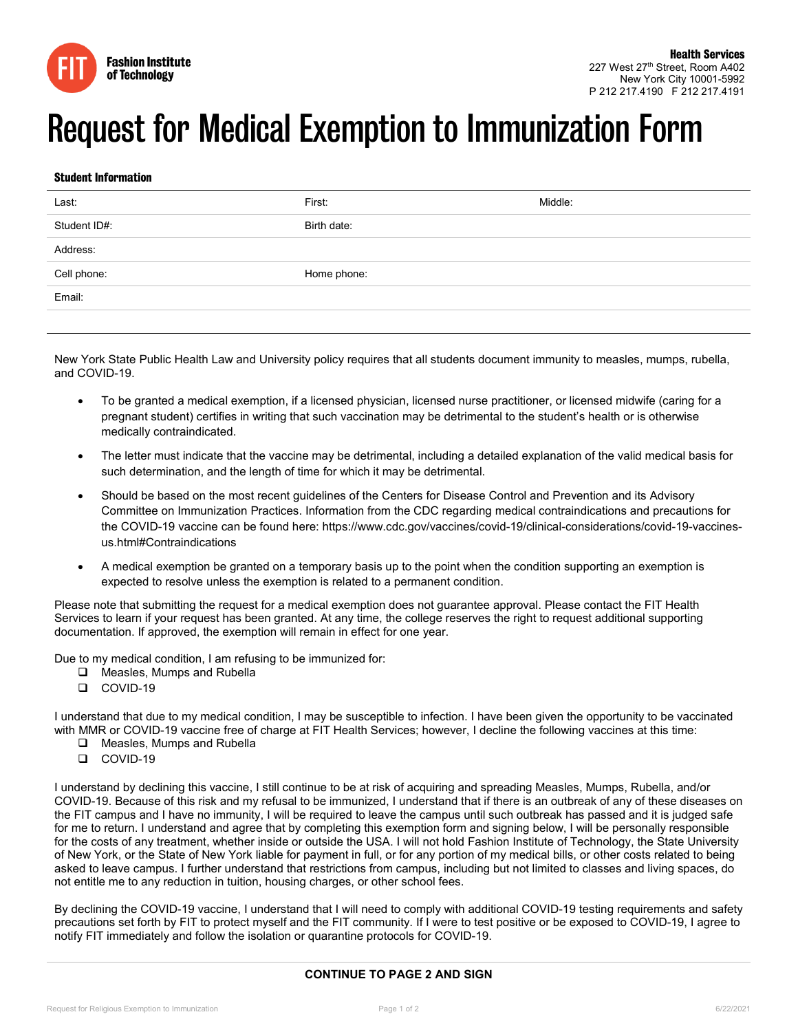

## Request for Medical Exemption to Immunization Form

## Student Information

| Last:                            | First:      | Middle: |
|----------------------------------|-------------|---------|
| Student ID#:                     | Birth date: |         |
| Address:                         |             |         |
| Cell phone:<br><b>STATISTICS</b> | Home phone: |         |
| Email:                           |             |         |
|                                  |             |         |

New York State Public Health Law and University policy requires that all students document immunity to measles, mumps, rubella, and COVID-19.

- To be granted a medical exemption, if a licensed physician, licensed nurse practitioner, or licensed midwife (caring for a pregnant student) certifies in writing that such vaccination may be detrimental to the student's health or is otherwise medically contraindicated.
- The letter must indicate that the vaccine may be detrimental, including a detailed explanation of the valid medical basis for such determination, and the length of time for which it may be detrimental.
- Should be based on the most recent guidelines of the Centers for Disease Control and Prevention and its Advisory Committee on Immunization Practices. Information from the CDC regarding medical contraindications and precautions for the COVID-19 vaccine can be found here: https://www.cdc.gov/vaccines/covid-19/clinical-considerations/covid-19-vaccinesus.html#Contraindications
- A medical exemption be granted on a temporary basis up to the point when the condition supporting an exemption is expected to resolve unless the exemption is related to a permanent condition.

Please note that submitting the request for a medical exemption does not guarantee approval. Please contact the FIT Health Services to learn if your request has been granted. At any time, the college reserves the right to request additional supporting documentation. If approved, the exemption will remain in effect for one year.

Due to my medical condition, I am refusing to be immunized for:

- □ Measles, Mumps and Rubella
- COVID-19

I understand that due to my medical condition, I may be susceptible to infection. I have been given the opportunity to be vaccinated with MMR or COVID-19 vaccine free of charge at FIT Health Services; however, I decline the following vaccines at this time:

- **Q** Measles, Mumps and Rubella
- COVID-19

I understand by declining this vaccine, I still continue to be at risk of acquiring and spreading Measles, Mumps, Rubella, and/or COVID-19. Because of this risk and my refusal to be immunized, I understand that if there is an outbreak of any of these diseases on the FIT campus and I have no immunity, I will be required to leave the campus until such outbreak has passed and it is judged safe for me to return. I understand and agree that by completing this exemption form and signing below, I will be personally responsible for the costs of any treatment, whether inside or outside the USA. I will not hold Fashion Institute of Technology, the State University of New York, or the State of New York liable for payment in full, or for any portion of my medical bills, or other costs related to being asked to leave campus. I further understand that restrictions from campus, including but not limited to classes and living spaces, do not entitle me to any reduction in tuition, housing charges, or other school fees.

By declining the COVID-19 vaccine, I understand that I will need to comply with additional COVID-19 testing requirements and safety precautions set forth by FIT to protect myself and the FIT community. If I were to test positive or be exposed to COVID-19, I agree to notify FIT immediately and follow the isolation or quarantine protocols for COVID-19.

## **CONTINUE TO PAGE 2 AND SIGN**